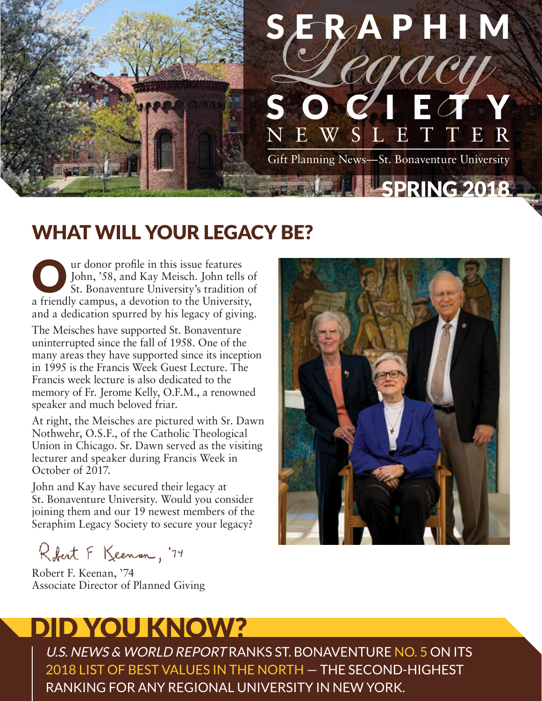

### WHAT WILL YOUR LEGACY BE?

US ur donor profile in this issue features<br>John, '58, and Kay Meisch. John tells<br>St. Bonaventure University's tradition John, '58, and Kay Meisch. John tells of St. Bonaventure University's tradition of a friendly campus, a devotion to the University, and a dedication spurred by his legacy of giving.

The Meisches have supported St. Bonaventure uninterrupted since the fall of 1958. One of the many areas they have supported since its inception in 1995 is the Francis Week Guest Lecture. The Francis week lecture is also dedicated to the memory of Fr. Jerome Kelly, O.F.M., a renowned speaker and much beloved friar.

At right, the Meisches are pictured with Sr. Dawn Nothwehr, O.S.F., of the Catholic Theological Union in Chicago. Sr. Dawn served as the visiting lecturer and speaker during Francis Week in October of 2017.

John and Kay have secured their legacy at St. Bonaventure University. Would you consider joining them and our 19 newest members of the Seraphim Legacy Society to secure your legacy?

Robert F Keenan, '74

Robert F. Keenan, '74 Associate Director of Planned Giving

# DID YOU KNOW?

U.S. NEWS & WORLD REPORT RANKS ST. BONAVENTURE NO. 5 ON ITS 2018 LIST OF BEST VALUES IN THE NORTH — THE SECOND-HIGHEST RANKING FOR ANY REGIONAL UNIVERSITY IN NEW YORK.

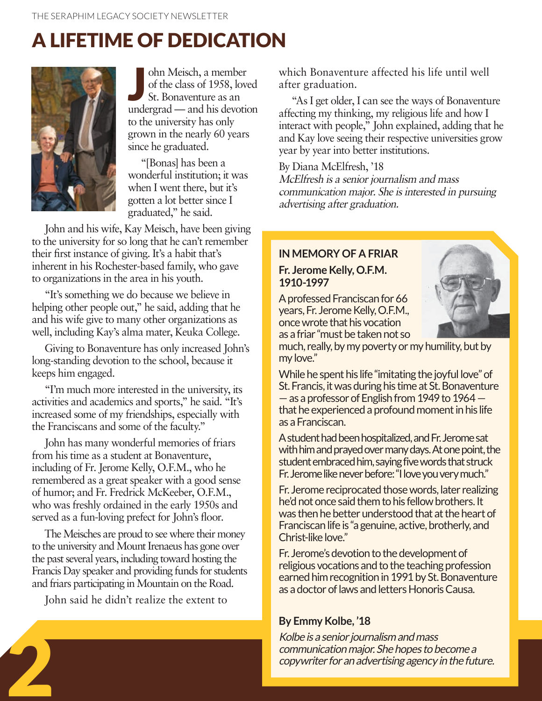### A LIFETIME OF DEDICATION



J ohn Meisch, a member of the class of 1958, loved St. Bonaventure as an undergrad — and his devotion to the university has only grown in the nearly 60 years since he graduated.

"[Bonas] has been a wonderful institution; it was when I went there, but it's gotten a lot better since I graduated," he said.

John and his wife, Kay Meisch, have been giving to the university for so long that he can't remember their first instance of giving. It's a habit that's inherent in his Rochester-based family, who gave to organizations in the area in his youth.

"It's something we do because we believe in helping other people out," he said, adding that he and his wife give to many other organizations as well, including Kay's alma mater, Keuka College.

Giving to Bonaventure has only increased John's long-standing devotion to the school, because it keeps him engaged.

"I'm much more interested in the university, its activities and academics and sports," he said. "It's increased some of my friendships, especially with the Franciscans and some of the faculty."

John has many wonderful memories of friars from his time as a student at Bonaventure, including of Fr. Jerome Kelly, O.F.M., who he remembered as a great speaker with a good sense of humor; and Fr. Fredrick McKeeber, O.F.M., who was freshly ordained in the early 1950s and served as a fun-loving prefect for John's floor.

The Meisches are proud to see where their money to the university and Mount Irenaeus has gone over the past several years, including toward hosting the Francis Day speaker and providing funds for students and friars participating in Mountain on the Road.

John said he didn't realize the extent to

2

which Bonaventure affected his life until well after graduation.

"As I get older, I can see the ways of Bonaventure affecting my thinking, my religious life and how I interact with people," John explained, adding that he and Kay love seeing their respective universities grow year by year into better institutions.

By Diana McElfresh, '18 McElfresh is a senior journalism and mass communication major. She is interested in pursuing advertising after graduation.

#### **IN MEMORY OF A FRIAR**

#### **Fr. Jerome Kelly, O.F.M. 1910-1997**

A professed Franciscan for 66 years, Fr. Jerome Kelly, O.F.M., once wrote that his vocation as a friar "must be taken not so



much, really, by my poverty or my humility, but by my love."

While he spent his life "imitating the joyful love" of St. Francis, it was during his time at St. Bonaventure — as a professor of English from 1949 to 1964 that he experienced a profound moment in his life as a Franciscan.

A student had been hospitalized, and Fr. Jerome sat with him and prayed over many days. At one point, the student embraced him, saying five words that struck Fr. Jerome like never before: "I love you very much."

Fr. Jerome reciprocated those words, later realizing he'd not once said them to his fellow brothers. It was then he better understood that at the heart of Franciscan life is "a genuine, active, brotherly, and Christ-like love."

Fr. Jerome's devotion to the development of religious vocations and to the teaching profession earned him recognition in 1991 by St. Bonaventure as a doctor of laws and letters Honoris Causa.

#### **By Emmy Kolbe, '18**

Kolbe is a senior journalism and mass communication major. She hopes to become a copywriter for an advertising agency in the future.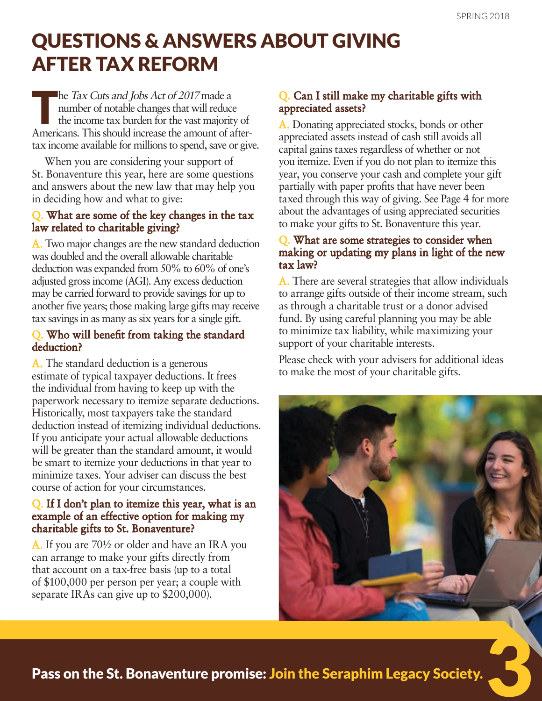### QUESTIONS & ANSWERS ABOUT GIVING AFTER TAX REFORM

The Tax Cuts and Jobs Act of 2017 made a<br>number of notable changes that will reduce<br>the income tax burden for the vast majority number of notable changes that will reduce the income tax burden for the vast majority of Americans. This should increase the amount of aftertax income available for millions to spend, save or give.

When you are considering your support of St. Bonaventure this year, here are some questions and answers about the new law that may help you in deciding how and what to give:

#### Q. What are some of the key changes in the tax law related to charitable giving?

A. Two major changes are the new standard deduction was doubled and the overall allowable charitable deduction was expanded from 50% to 60% of one's adjusted gross income (AGI). Any excess deduction may be carried forward to provide savings for up to another five years; those making large gifts may receive tax savings in as many as six years for a single gift.

#### Q. Who will benefit from taking the standard deduction?

A. The standard deduction is a generous estimate of typical taxpayer deductions. It frees the individual from having to keep up with the paperwork necessary to itemize separate deductions. Historically, most taxpayers take the standard deduction instead of itemizing individual deductions. If you anticipate your actual allowable deductions will be greater than the standard amount, it would be smart to itemize your deductions in that year to minimize taxes. Your adviser can discuss the best course of action for your circumstances.

#### Q. If I don't plan to itemize this year, what is an example of an effective option for making my charitable gifts to St. Bonaventure?

A. If you are 70½ or older and have an IRA you can arrange to make your gifts directly from that account on a tax-free basis (up to a total of \$100,000 per person per year; a couple with separate IRAs can give up to \$200,000).

#### Q. Can I still make my charitable gifts with appreciated assets?

A. Donating appreciated stocks, bonds or other appreciated assets instead of cash still avoids all capital gains taxes regardless of whether or not you itemize. Even if you do not plan to itemize this year, you conserve your cash and complete your gift partially with paper profits that have never been taxed through this way of giving. See Page 4 for more about the advantages of using appreciated securities to make your gifts to St. Bonaventure this year.

#### Q. What are some strategies to consider when making or updating my plans in light of the new tax law?

A. There are several strategies that allow individuals to arrange gifts outside of their income stream, such as through a charitable trust or a donor advised fund. By using careful planning you may be able to minimize tax liability, while maximizing your support of your charitable interests.

Please check with your advisers for additional ideas to make the most of your charitable gifts.